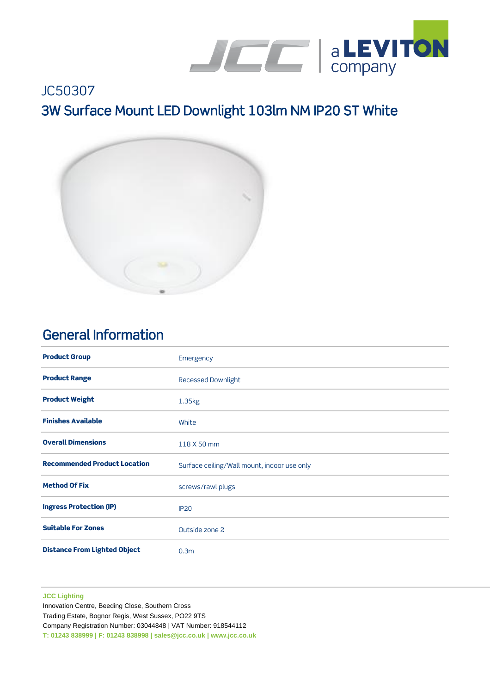

# JC50307 3W Surface Mount LED Downlight 103lm NM IP20 ST White



### General Information

| <b>Product Group</b>                | Emergency                                   |
|-------------------------------------|---------------------------------------------|
| <b>Product Range</b>                | <b>Recessed Downlight</b>                   |
| <b>Product Weight</b>               | 1.35kg                                      |
| <b>Finishes Available</b>           | White                                       |
| <b>Overall Dimensions</b>           | 118 X 50 mm                                 |
| <b>Recommended Product Location</b> | Surface ceiling/Wall mount, indoor use only |
| <b>Method Of Fix</b>                | screws/rawl plugs                           |
| <b>Ingress Protection (IP)</b>      | <b>IP20</b>                                 |
| <b>Suitable For Zones</b>           | Outside zone 2                              |
| <b>Distance From Lighted Object</b> | 0.3 <sub>m</sub>                            |

#### **JCC Lighting**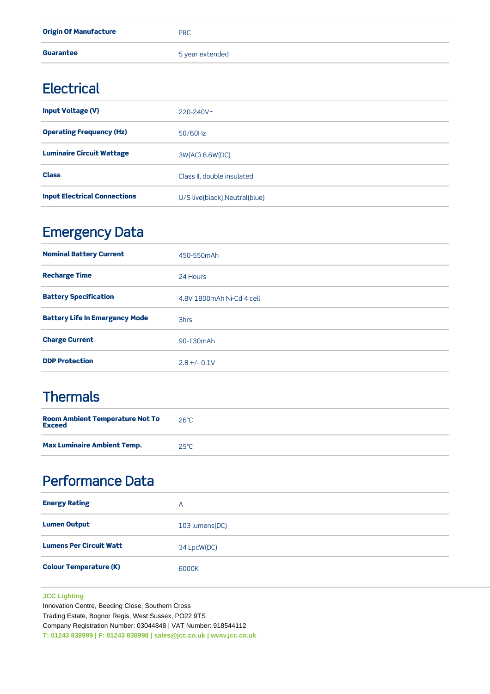| <b>Origin Of Manufacture</b> | <b>PRC</b>      |
|------------------------------|-----------------|
| <b>Guarantee</b>             | 5 year extended |

#### **Electrical**

| <b>Input Voltage (V)</b>            | $220 - 240V$ ~                 |
|-------------------------------------|--------------------------------|
| <b>Operating Frequency (Hz)</b>     | $50/60$ Hz                     |
| <b>Luminaire Circuit Wattage</b>    | 3W(AC) 8.6W(DC)                |
| <b>Class</b>                        | Class II, double insulated     |
| <b>Input Electrical Connections</b> | U/S live(black), Neutral(blue) |

## Emergency Data

| <b>Nominal Battery Current</b>        | 450-550mAh                |
|---------------------------------------|---------------------------|
| <b>Recharge Time</b>                  | 24 Hours                  |
| <b>Battery Specification</b>          | 4.8V 1800mAh Ni-Cd 4 cell |
| <b>Battery Life In Emergency Mode</b> | 3hrs                      |
| <b>Charge Current</b>                 | 90-130mAh                 |
| <b>DDP Protection</b>                 | $2.8 + (-0.1)$            |

# **Thermals**

| <b>Room Ambient Temperature Not To</b><br><b>Exceed</b> | $26^{\circ}$ C |
|---------------------------------------------------------|----------------|
| <b>Max Luminaire Ambient Temp.</b>                      | $25^{\circ}$ C |

## Performance Data

| <b>Energy Rating</b>           | A              |
|--------------------------------|----------------|
| <b>Lumen Output</b>            | 103 lumens(DC) |
| <b>Lumens Per Circuit Watt</b> | 34 LpcW(DC)    |
| <b>Colour Temperature (K)</b>  | 6000K          |

#### **JCC Lighting**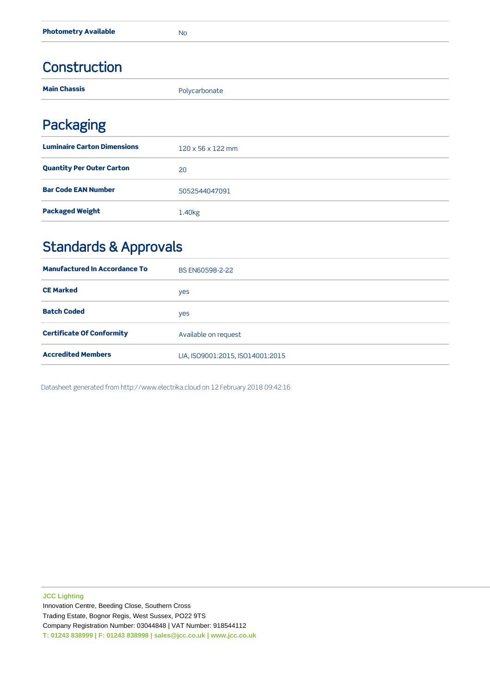#### Construction

| <b>Main Chassis</b>                | Polycarbonate                 |
|------------------------------------|-------------------------------|
| <b>Packaging</b>                   |                               |
| <b>Luminaire Carton Dimensions</b> | $120 \times 56 \times 122$ mm |
| <b>Quantity Per Outer Carton</b>   | 20                            |
| <b>Bar Code EAN Number</b>         | 5052544047091                 |

## Standards & Approvals

Packaged Weight **1.40kg** 

| <b>Manufactured In Accordance To</b> | BS EN60598-2-22                  |
|--------------------------------------|----------------------------------|
| <b>CE Marked</b>                     | yes                              |
| <b>Batch Coded</b>                   | yes                              |
| <b>Certificate Of Conformity</b>     | Available on request             |
| <b>Accredited Members</b>            | LIA, ISO9001:2015, ISO14001:2015 |

Datasheet generated from http://www.electrika.cloud on 12 February 2018 09:42:16

**JCC Lighting**